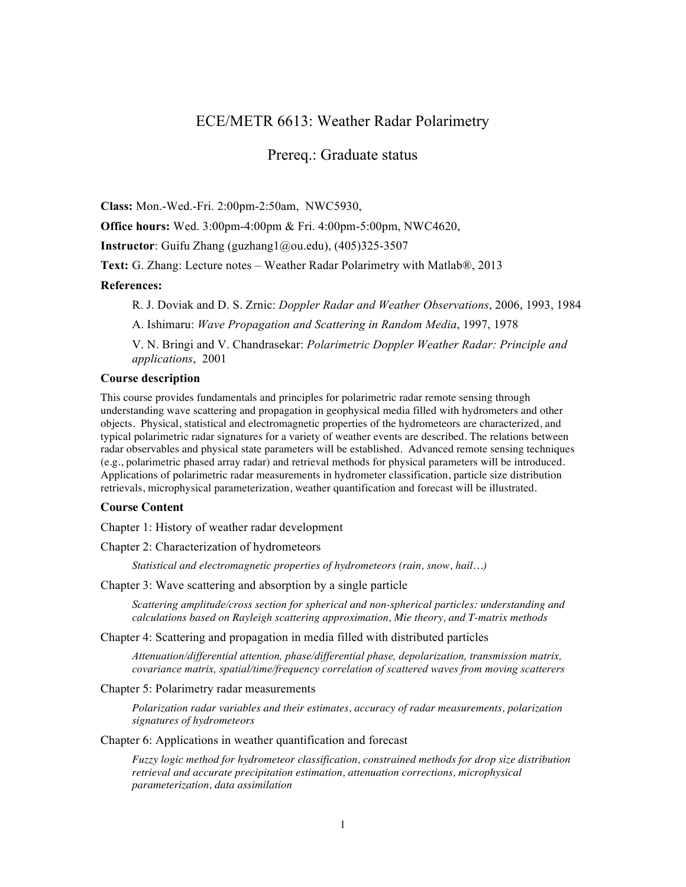# ECE/METR 6613: Weather Radar Polarimetry

## Prereq.: Graduate status

**Class:** Mon.-Wed.-Fri. 2:00pm-2:50am, NWC5930,

**Office hours:** Wed. 3:00pm-4:00pm & Fri. 4:00pm-5:00pm, NWC4620,

**Instructor**: Guifu Zhang (guzhang1@ou.edu), (405)325-3507

**Text:** G. Zhang: Lecture notes – Weather Radar Polarimetry with Matlab®, 2013

#### **References:**

R. J. Doviak and D. S. Zrnic: *Doppler Radar and Weather Observations*, 2006, 1993, 1984

A. Ishimaru: *Wave Propagation and Scattering in Random Media*, 1997, 1978

V. N. Bringi and V. Chandrasekar: *Polarimetric Doppler Weather Radar: Principle and applications*, 2001

#### **Course description**

This course provides fundamentals and principles for polarimetric radar remote sensing through understanding wave scattering and propagation in geophysical media filled with hydrometers and other objects. Physical, statistical and electromagnetic properties of the hydrometeors are characterized, and typical polarimetric radar signatures for a variety of weather events are described. The relations between radar observables and physical state parameters will be established. Advanced remote sensing techniques (e.g., polarimetric phased array radar) and retrieval methods for physical parameters will be introduced. Applications of polarimetric radar measurements in hydrometer classification, particle size distribution retrievals, microphysical parameterization, weather quantification and forecast will be illustrated.

#### **Course Content**

Chapter 1: History of weather radar development

Chapter 2: Characterization of hydrometeors

*Statistical and electromagnetic properties of hydrometeors (rain, snow, hail…)*

Chapter 3: Wave scattering and absorption by a single particle

*Scattering amplitude/cross section for spherical and non-spherical particles: understanding and calculations based on Rayleigh scattering approximation, Mie theory, and T-matrix methods*

Chapter 4: Scattering and propagation in media filled with distributed particles

*Attenuation/differential attention, phase/differential phase, depolarization, transmission matrix, covariance matrix, spatial/time/frequency correlation of scattered waves from moving scatterers* 

### Chapter 5: Polarimetry radar measurements

*Polarization radar variables and their estimates, accuracy of radar measurements, polarization signatures of hydrometeors* 

Chapter 6: Applications in weather quantification and forecast

*Fuzzy logic method for hydrometeor classification, constrained methods for drop size distribution retrieval and accurate precipitation estimation, attenuation corrections, microphysical parameterization, data assimilation*